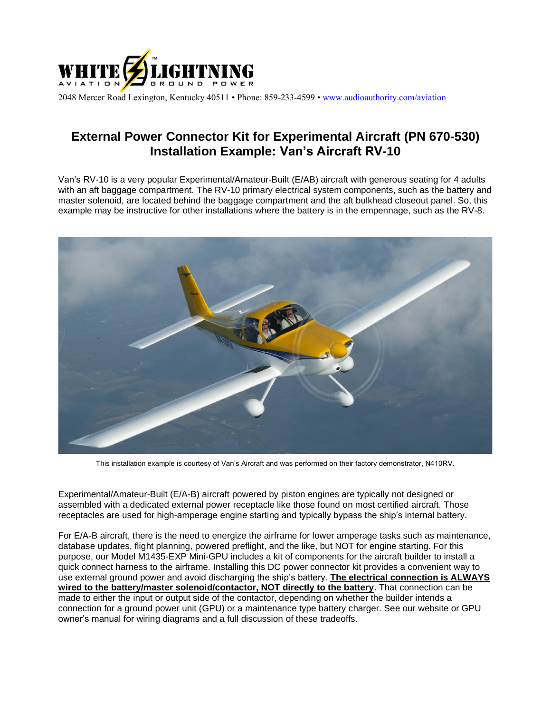

2048 Mercer Road Lexington, Kentucky 40511 • Phone: 859-233-4599 • [www.audioauthority.com/aviation](http://www.audioauthority.com/aviation)

## **External Power Connector Kit for Experimental Aircraft (PN 670-530) Installation Example: Van's Aircraft RV-10**

Van's RV-10 is a very popular Experimental/Amateur-Built (E/AB) aircraft with generous seating for 4 adults with an aft baggage compartment. The RV-10 primary electrical system components, such as the battery and master solenoid, are located behind the baggage compartment and the aft bulkhead closeout panel. So, this example may be instructive for other installations where the battery is in the empennage, such as the RV-8.



This installation example is courtesy of Van's Aircraft and was performed on their factory demonstrator, N410RV.

Experimental/Amateur-Built (E/A-B) aircraft powered by piston engines are typically not designed or assembled with a dedicated external power receptacle like those found on most certified aircraft. Those receptacles are used for high-amperage engine starting and typically bypass the ship's internal battery.

For E/A-B aircraft, there is the need to energize the airframe for lower amperage tasks such as maintenance, database updates, flight planning, powered preflight, and the like, but NOT for engine starting. For this purpose, our Model M1435-EXP Mini-GPU includes a kit of components for the aircraft builder to install a quick connect harness to the airframe. Installing this DC power connector kit provides a convenient way to use external ground power and avoid discharging the ship's battery. **The electrical connection is ALWAYS wired to the battery/master solenoid/contactor, NOT directly to the battery**. That connection can be made to either the input or output side of the contactor, depending on whether the builder intends a connection for a ground power unit (GPU) or a maintenance type battery charger. See our website or GPU owner's manual for wiring diagrams and a full discussion of these tradeoffs.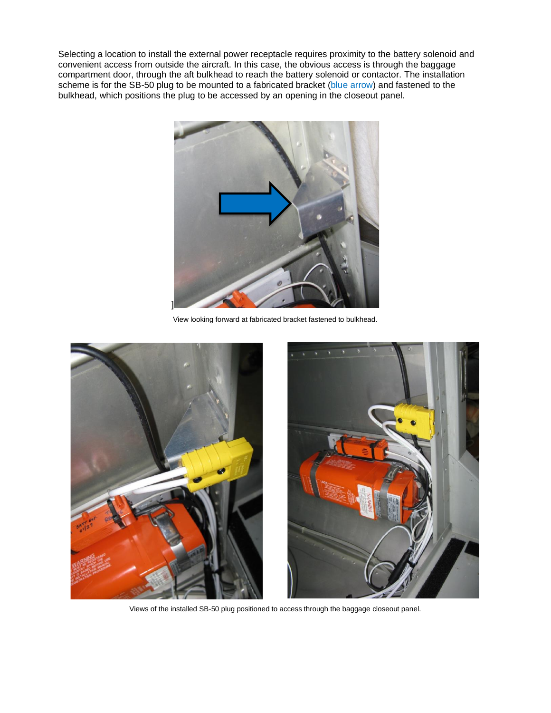Selecting a location to install the external power receptacle requires proximity to the battery solenoid and convenient access from outside the aircraft. In this case, the obvious access is through the baggage compartment door, through the aft bulkhead to reach the battery solenoid or contactor. The installation scheme is for the SB-50 plug to be mounted to a fabricated bracket (blue arrow) and fastened to the bulkhead, which positions the plug to be accessed by an opening in the closeout panel.



View looking forward at fabricated bracket fastened to bulkhead.



Views of the installed SB-50 plug positioned to access through the baggage closeout panel.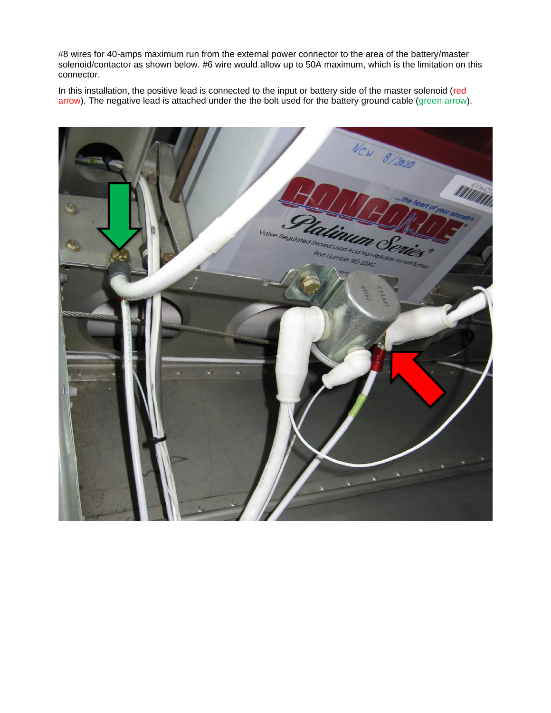#8 wires for 40-amps maximum run from the external power connector to the area of the battery/master solenoid/contactor as shown below. #6 wire would allow up to 50A maximum, which is the limitation on this connector.

In this installation, the positive lead is connected to the input or battery side of the master solenoid (red arrow). The negative lead is attached under the the bolt used for the battery ground cable (green arrow).